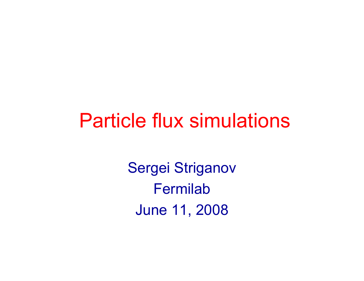### Particle flux simulations

Sergei Striganov **Fermilab** June 11, 2008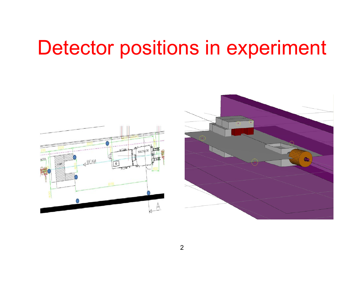## Detector positions in experiment

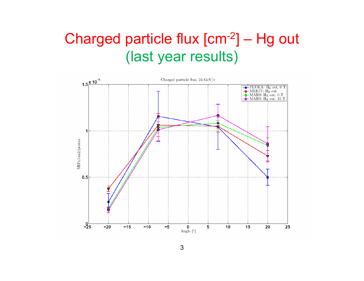#### Charged particle flux [cm-2] – Hg out (last year results)

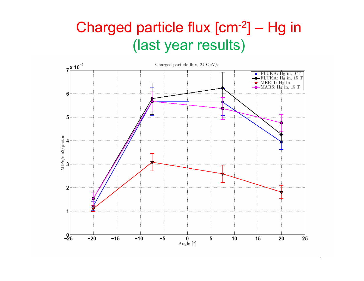#### Charged particle flux [cm-2] – Hg in (last year results)



4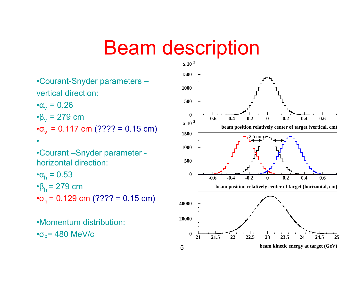### Beam description

•Courant-Snyder parameters – vertical direction:

 $\cdot \alpha_v = 0.26$  $\cdot$  $\beta_v$  = 279 cm  $\textbf{e}_{\text{v}} = 0.117 \text{ cm}$  (???? = 0.15 cm)

•Courant –Snyder parameter horizontal direction:

•

 $\cdot\alpha_{\sf h}$  = 0.53  $\cdot$  $\beta_h$  = 279 cm  $\cdot\sigma_h$  = 0.129 cm (???? = 0.15 cm)

•Momentum distribution: $\cdot \sigma_p$ = 480 MeV/c

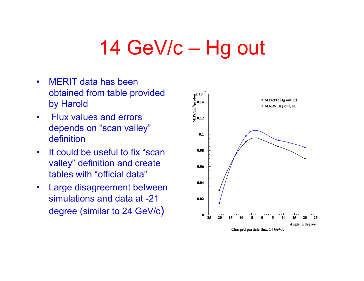# 14 GeV/c – Hg out

- $\bullet$  MERIT data has been obtained from table provided by Harold
- • Flux values and errors depends on "scan valley" definition
- $\bullet$  It could be useful to fix "scan valley" definition and create tables with "official data"
- $\bullet$  Large disagreement between simulations and data at -21 degree (similar to 24 GeV/c )

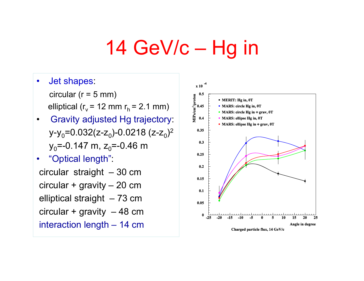# 14 GeV/c – Hg in

- $\bullet$  Jet shapes: circular ( $r = 5$  mm) elliptical ( $r_v$  = 12 mm  $r_h$  = 2.1 mm)
- • Gravity adjusted Hg trajectory: y-y<sub>0</sub>=0.032(z-z<sub>0</sub>)-0.0218 (z-z<sub>0</sub>)<sup>2</sup> y<sub>o</sub>=-0.147 m, z<sub>o</sub>=-0.46 m
- $\bullet$  "Optical length": circular straight – 30 cm circular + gravity – 20 cm elliptical straight – 73 cm circular + gravity  $-48$  cm interaction length – 14 cm

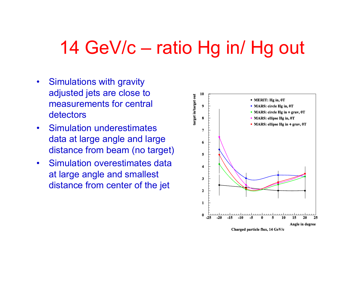#### 14 GeV/c – ratio Hg in/ Hg out

- $\bullet$  Simulations with gravity adjusted jets are close to measurements for central detectors
- $\bullet$  Simulation underestimates data at large angle and large distance from beam (no target)
- $\bullet$  Simulation overestimates data at large angle and smallest distance from center of the jet